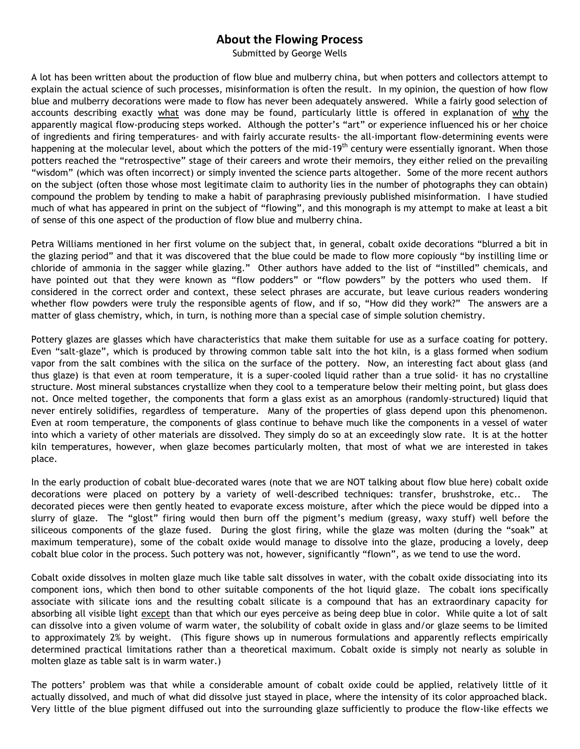## **About the Flowing Process**

Submitted by George Wells

A lot has been written about the production of flow blue and mulberry china, but when potters and collectors attempt to explain the actual science of such processes, misinformation is often the result. In my opinion, the question of how flow blue and mulberry decorations were made to flow has never been adequately answered. While a fairly good selection of accounts describing exactly what was done may be found, particularly little is offered in explanation of why the apparently magical flow-producing steps worked. Although the potter's "art" or experience influenced his or her choice of ingredients and firing temperatures- and with fairly accurate results- the all-important flow-determining events were happening at the molecular level, about which the potters of the mid-19<sup>th</sup> century were essentially ignorant. When those potters reached the "retrospective" stage of their careers and wrote their memoirs, they either relied on the prevailing "wisdom" (which was often incorrect) or simply invented the science parts altogether. Some of the more recent authors on the subject (often those whose most legitimate claim to authority lies in the number of photographs they can obtain) compound the problem by tending to make a habit of paraphrasing previously published misinformation. I have studied much of what has appeared in print on the subject of "flowing", and this monograph is my attempt to make at least a bit of sense of this one aspect of the production of flow blue and mulberry china.

Petra Williams mentioned in her first volume on the subject that, in general, cobalt oxide decorations "blurred a bit in the glazing period" and that it was discovered that the blue could be made to flow more copiously "by instilling lime or chloride of ammonia in the sagger while glazing." Other authors have added to the list of "instilled" chemicals, and have pointed out that they were known as "flow podders" or "flow powders" by the potters who used them. If considered in the correct order and context, these select phrases are accurate, but leave curious readers wondering whether flow powders were truly the responsible agents of flow, and if so, "How did they work?" The answers are a matter of glass chemistry, which, in turn, is nothing more than a special case of simple solution chemistry.

Pottery glazes are glasses which have characteristics that make them suitable for use as a surface coating for pottery. Even "salt-glaze", which is produced by throwing common table salt into the hot kiln, is a glass formed when sodium vapor from the salt combines with the silica on the surface of the pottery. Now, an interesting fact about glass (and thus glaze) is that even at room temperature, it is a super-cooled liquid rather than a true solid- it has no crystalline structure. Most mineral substances crystallize when they cool to a temperature below their melting point, but glass does not. Once melted together, the components that form a glass exist as an amorphous (randomly-structured) liquid that never entirely solidifies, regardless of temperature. Many of the properties of glass depend upon this phenomenon. Even at room temperature, the components of glass continue to behave much like the components in a vessel of water into which a variety of other materials are dissolved. They simply do so at an exceedingly slow rate. It is at the hotter kiln temperatures, however, when glaze becomes particularly molten, that most of what we are interested in takes place.

In the early production of cobalt blue-decorated wares (note that we are NOT talking about flow blue here) cobalt oxide decorations were placed on pottery by a variety of well-described techniques: transfer, brushstroke, etc.. The decorated pieces were then gently heated to evaporate excess moisture, after which the piece would be dipped into a slurry of glaze. The "glost" firing would then burn off the pigment's medium (greasy, waxy stuff) well before the siliceous components of the glaze fused. During the glost firing, while the glaze was molten (during the "soak" at maximum temperature), some of the cobalt oxide would manage to dissolve into the glaze, producing a lovely, deep cobalt blue color in the process. Such pottery was not, however, significantly "flown", as we tend to use the word.

Cobalt oxide dissolves in molten glaze much like table salt dissolves in water, with the cobalt oxide dissociating into its component ions, which then bond to other suitable components of the hot liquid glaze. The cobalt ions specifically associate with silicate ions and the resulting cobalt silicate is a compound that has an extraordinary capacity for absorbing all visible light except than that which our eyes perceive as being deep blue in color. While quite a lot of salt can dissolve into a given volume of warm water, the solubility of cobalt oxide in glass and/or glaze seems to be limited to approximately 2% by weight. (This figure shows up in numerous formulations and apparently reflects empirically determined practical limitations rather than a theoretical maximum. Cobalt oxide is simply not nearly as soluble in molten glaze as table salt is in warm water.)

The potters' problem was that while a considerable amount of cobalt oxide could be applied, relatively little of it actually dissolved, and much of what did dissolve just stayed in place, where the intensity of its color approached black. Very little of the blue pigment diffused out into the surrounding glaze sufficiently to produce the flow-like effects we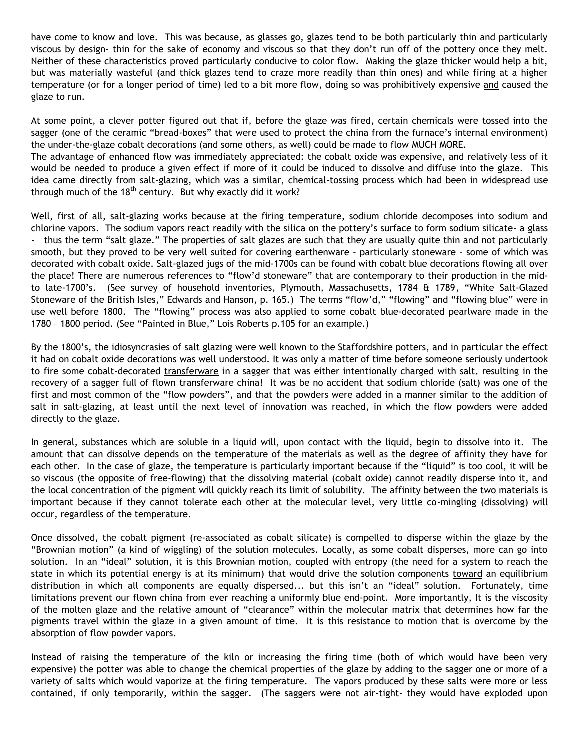have come to know and love. This was because, as glasses go, glazes tend to be both particularly thin and particularly viscous by design- thin for the sake of economy and viscous so that they don't run off of the pottery once they melt. Neither of these characteristics proved particularly conducive to color flow. Making the glaze thicker would help a bit, but was materially wasteful (and thick glazes tend to craze more readily than thin ones) and while firing at a higher temperature (or for a longer period of time) led to a bit more flow, doing so was prohibitively expensive and caused the glaze to run.

At some point, a clever potter figured out that if, before the glaze was fired, certain chemicals were tossed into the sagger (one of the ceramic "bread-boxes" that were used to protect the china from the furnace's internal environment) the under-the-glaze cobalt decorations (and some others, as well) could be made to flow MUCH MORE.

The advantage of enhanced flow was immediately appreciated: the cobalt oxide was expensive, and relatively less of it would be needed to produce a given effect if more of it could be induced to dissolve and diffuse into the glaze. This idea came directly from salt-glazing, which was a similar, chemical-tossing process which had been in widespread use through much of the  $18<sup>th</sup>$  century. But why exactly did it work?

Well, first of all, salt-glazing works because at the firing temperature, sodium chloride decomposes into sodium and chlorine vapors. The sodium vapors react readily with the silica on the pottery's surface to form sodium silicate- a glass - thus the term "salt glaze." The properties of salt glazes are such that they are usually quite thin and not particularly smooth, but they proved to be very well suited for covering earthenware – particularly stoneware – some of which was decorated with cobalt oxide. Salt-glazed jugs of the mid-1700s can be found with cobalt blue decorations flowing all over the place! There are numerous references to "flow'd stoneware" that are contemporary to their production in the midto late-1700's. (See survey of household inventories, Plymouth, Massachusetts, 1784 & 1789, "White Salt-Glazed Stoneware of the British Isles," Edwards and Hanson, p. 165.) The terms "flow'd," "flowing" and "flowing blue" were in use well before 1800. The "flowing" process was also applied to some cobalt blue-decorated pearlware made in the 1780 – 1800 period. (See "Painted in Blue," Lois Roberts p.105 for an example.)

By the 1800's, the idiosyncrasies of salt glazing were well known to the Staffordshire potters, and in particular the effect it had on cobalt oxide decorations was well understood. It was only a matter of time before someone seriously undertook to fire some cobalt-decorated transferware in a sagger that was either intentionally charged with salt, resulting in the recovery of a sagger full of flown transferware china! It was be no accident that sodium chloride (salt) was one of the first and most common of the "flow powders", and that the powders were added in a manner similar to the addition of salt in salt-glazing, at least until the next level of innovation was reached, in which the flow powders were added directly to the glaze.

In general, substances which are soluble in a liquid will, upon contact with the liquid, begin to dissolve into it. The amount that can dissolve depends on the temperature of the materials as well as the degree of affinity they have for each other. In the case of glaze, the temperature is particularly important because if the "liquid" is too cool, it will be so viscous (the opposite of free-flowing) that the dissolving material (cobalt oxide) cannot readily disperse into it, and the local concentration of the pigment will quickly reach its limit of solubility. The affinity between the two materials is important because if they cannot tolerate each other at the molecular level, very little co-mingling (dissolving) will occur, regardless of the temperature.

Once dissolved, the cobalt pigment (re-associated as cobalt silicate) is compelled to disperse within the glaze by the "Brownian motion" (a kind of wiggling) of the solution molecules. Locally, as some cobalt disperses, more can go into solution. In an "ideal" solution, it is this Brownian motion, coupled with entropy (the need for a system to reach the state in which its potential energy is at its minimum) that would drive the solution components toward an equilibrium distribution in which all components are equally dispersed... but this isn't an "ideal" solution. Fortunately, time limitations prevent our flown china from ever reaching a uniformly blue end-point. More importantly, It is the viscosity of the molten glaze and the relative amount of "clearance" within the molecular matrix that determines how far the pigments travel within the glaze in a given amount of time. It is this resistance to motion that is overcome by the absorption of flow powder vapors.

Instead of raising the temperature of the kiln or increasing the firing time (both of which would have been very expensive) the potter was able to change the chemical properties of the glaze by adding to the sagger one or more of a variety of salts which would vaporize at the firing temperature. The vapors produced by these salts were more or less contained, if only temporarily, within the sagger. (The saggers were not air-tight- they would have exploded upon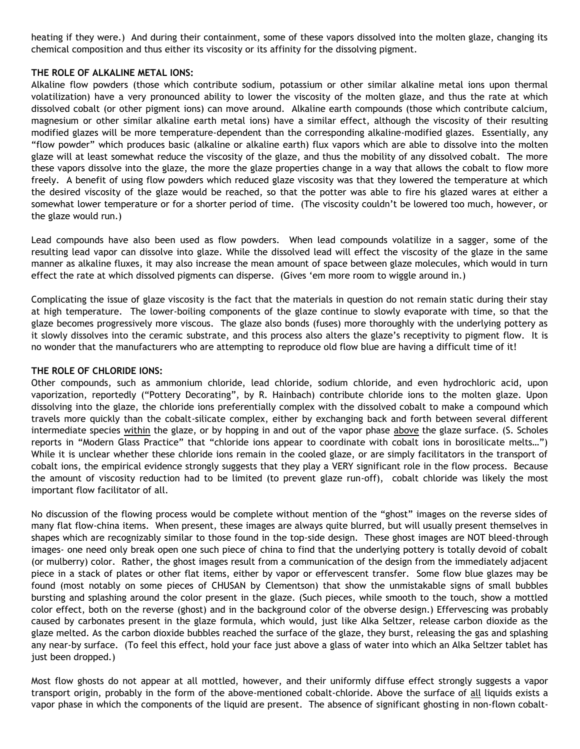heating if they were.) And during their containment, some of these vapors dissolved into the molten glaze, changing its chemical composition and thus either its viscosity or its affinity for the dissolving pigment.

## **THE ROLE OF ALKALINE METAL IONS:**

Alkaline flow powders (those which contribute sodium, potassium or other similar alkaline metal ions upon thermal volatilization) have a very pronounced ability to lower the viscosity of the molten glaze, and thus the rate at which dissolved cobalt (or other pigment ions) can move around. Alkaline earth compounds (those which contribute calcium, magnesium or other similar alkaline earth metal ions) have a similar effect, although the viscosity of their resulting modified glazes will be more temperature-dependent than the corresponding alkaline-modified glazes. Essentially, any "flow powder" which produces basic (alkaline or alkaline earth) flux vapors which are able to dissolve into the molten glaze will at least somewhat reduce the viscosity of the glaze, and thus the mobility of any dissolved cobalt. The more these vapors dissolve into the glaze, the more the glaze properties change in a way that allows the cobalt to flow more freely. A benefit of using flow powders which reduced glaze viscosity was that they lowered the temperature at which the desired viscosity of the glaze would be reached, so that the potter was able to fire his glazed wares at either a somewhat lower temperature or for a shorter period of time. (The viscosity couldn't be lowered too much, however, or the glaze would run.)

Lead compounds have also been used as flow powders. When lead compounds volatilize in a sagger, some of the resulting lead vapor can dissolve into glaze. While the dissolved lead will effect the viscosity of the glaze in the same manner as alkaline fluxes, it may also increase the mean amount of space between glaze molecules, which would in turn effect the rate at which dissolved pigments can disperse. (Gives 'em more room to wiggle around in.)

Complicating the issue of glaze viscosity is the fact that the materials in question do not remain static during their stay at high temperature. The lower-boiling components of the glaze continue to slowly evaporate with time, so that the glaze becomes progressively more viscous. The glaze also bonds (fuses) more thoroughly with the underlying pottery as it slowly dissolves into the ceramic substrate, and this process also alters the glaze's receptivity to pigment flow. It is no wonder that the manufacturers who are attempting to reproduce old flow blue are having a difficult time of it!

## **THE ROLE OF CHLORIDE IONS:**

Other compounds, such as ammonium chloride, lead chloride, sodium chloride, and even hydrochloric acid, upon vaporization, reportedly ("Pottery Decorating", by R. Hainbach) contribute chloride ions to the molten glaze. Upon dissolving into the glaze, the chloride ions preferentially complex with the dissolved cobalt to make a compound which travels more quickly than the cobalt-silicate complex, either by exchanging back and forth between several different intermediate species within the glaze, or by hopping in and out of the vapor phase above the glaze surface. (S. Scholes reports in "Modern Glass Practice" that "chloride ions appear to coordinate with cobalt ions in borosilicate melts…") While it is unclear whether these chloride ions remain in the cooled glaze, or are simply facilitators in the transport of cobalt ions, the empirical evidence strongly suggests that they play a VERY significant role in the flow process. Because the amount of viscosity reduction had to be limited (to prevent glaze run-off), cobalt chloride was likely the most important flow facilitator of all.

No discussion of the flowing process would be complete without mention of the "ghost" images on the reverse sides of many flat flow-china items. When present, these images are always quite blurred, but will usually present themselves in shapes which are recognizably similar to those found in the top-side design. These ghost images are NOT bleed-through images- one need only break open one such piece of china to find that the underlying pottery is totally devoid of cobalt (or mulberry) color. Rather, the ghost images result from a communication of the design from the immediately adjacent piece in a stack of plates or other flat items, either by vapor or effervescent transfer. Some flow blue glazes may be found (most notably on some pieces of CHUSAN by Clementson) that show the unmistakable signs of small bubbles bursting and splashing around the color present in the glaze. (Such pieces, while smooth to the touch, show a mottled color effect, both on the reverse (ghost) and in the background color of the obverse design.) Effervescing was probably caused by carbonates present in the glaze formula, which would, just like Alka Seltzer, release carbon dioxide as the glaze melted. As the carbon dioxide bubbles reached the surface of the glaze, they burst, releasing the gas and splashing any near-by surface. (To feel this effect, hold your face just above a glass of water into which an Alka Seltzer tablet has just been dropped.)

Most flow ghosts do not appear at all mottled, however, and their uniformly diffuse effect strongly suggests a vapor transport origin, probably in the form of the above-mentioned cobalt-chloride. Above the surface of all liquids exists a vapor phase in which the components of the liquid are present. The absence of significant ghosting in non-flown cobalt